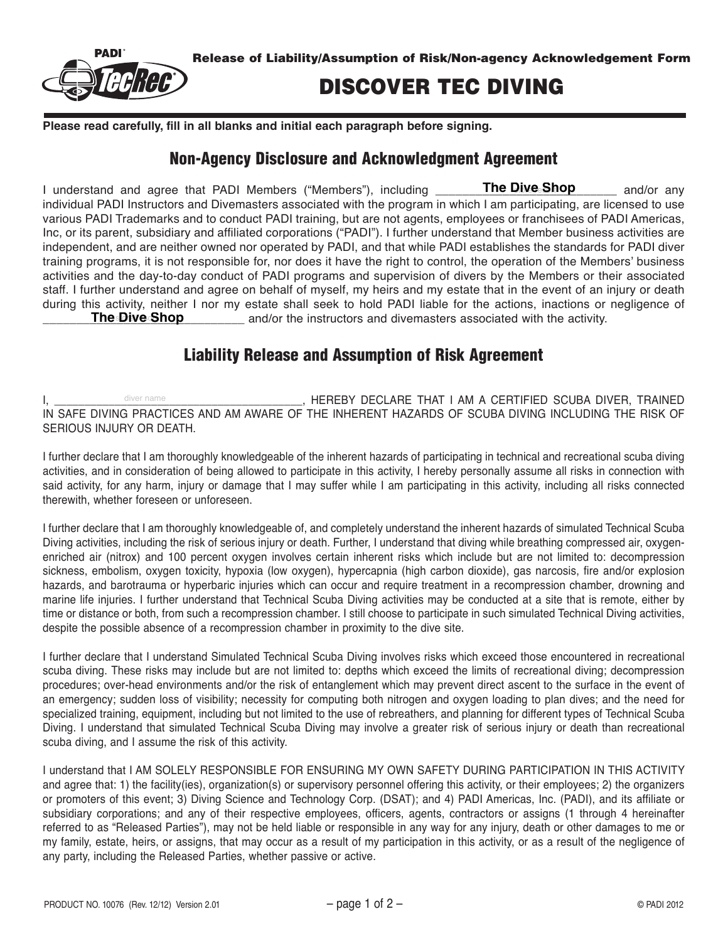

## DISCOVER TEC DIVING

**Please read carefully, fill in all blanks and initial each paragraph before signing.**

## Non-Agency Disclosure and Acknowledgment Agreement

I understand and agree that PADI Members ("Members"), including \_\_\_\_\_\_\_**The Dive Shop** \_\_\_\_\_\_\_ and/or any individual PADI Instructors and Divemasters associated with the program in which I am participating, are licensed to use various PADI Trademarks and to conduct PADI training, but are not agents, employees or franchisees of PADI Americas, Inc, or its parent, subsidiary and affiliated corporations ("PADI"). I further understand that Member business activities are independent, and are neither owned nor operated by PADI, and that while PADI establishes the standards for PADI diver training programs, it is not responsible for, nor does it have the right to control, the operation of the Members' business activities and the day-to-day conduct of PADI programs and supervision of divers by the Members or their associated staff. I further understand and agree on behalf of myself, my heirs and my estate that in the event of an injury or death during this activity, neither I nor my estate shall seek to hold PADI liable for the actions, inactions or negligence of **The Dive Shop** and/or the instructors and divemasters associated with the activity. The Dive Shop

## Liability Release and Assumption of Risk Agreement

I, The same of the settlement of the settlement of the settlement of the settlement of the settlement of the scuba diversion of the settlement of the settlement of the settlement of the settlement of the settlement of the IN SAFE DIVING PRACTICES AND AM AWARE OF THE INHERENT HAZARDS OF SCUBA DIVING INCLUDING THE RISK OF SERIOUS INJURY OR DEATH. diver name

I further declare that I am thoroughly knowledgeable of the inherent hazards of participating in technical and recreational scuba diving activities, and in consideration of being allowed to participate in this activity, I hereby personally assume all risks in connection with said activity, for any harm, injury or damage that I may suffer while I am participating in this activity, including all risks connected therewith, whether foreseen or unforeseen.

I further declare that I am thoroughly knowledgeable of, and completely understand the inherent hazards of simulated Technical Scuba Diving activities, including the risk of serious injury or death. Further, I understand that diving while breathing compressed air, oxygenenriched air (nitrox) and 100 percent oxygen involves certain inherent risks which include but are not limited to: decompression sickness, embolism, oxygen toxicity, hypoxia (low oxygen), hypercapnia (high carbon dioxide), gas narcosis, fire and/or explosion hazards, and barotrauma or hyperbaric injuries which can occur and require treatment in a recompression chamber, drowning and marine life injuries. I further understand that Technical Scuba Diving activities may be conducted at a site that is remote, either by time or distance or both, from such a recompression chamber. I still choose to participate in such simulated Technical Diving activities, despite the possible absence of a recompression chamber in proximity to the dive site.

I further declare that I understand Simulated Technical Scuba Diving involves risks which exceed those encountered in recreational scuba diving. These risks may include but are not limited to: depths which exceed the limits of recreational diving; decompression procedures; over-head environments and/or the risk of entanglement which may prevent direct ascent to the surface in the event of an emergency; sudden loss of visibility; necessity for computing both nitrogen and oxygen loading to plan dives; and the need for specialized training, equipment, including but not limited to the use of rebreathers, and planning for different types of Technical Scuba Diving. I understand that simulated Technical Scuba Diving may involve a greater risk of serious injury or death than recreational scuba diving, and I assume the risk of this activity.

I understand that I AM SOLELY RESPONSIBLE FOR ENSURING MY OWN SAFETY DURING PARTICIPATION IN THIS ACTIVITY and agree that: 1) the facility(ies), organization(s) or supervisory personnel offering this activity, or their employees; 2) the organizers or promoters of this event; 3) Diving Science and Technology Corp. (DSAT); and 4) PADI Americas, Inc. (PADI), and its affiliate or subsidiary corporations; and any of their respective employees, officers, agents, contractors or assigns (1 through 4 hereinafter referred to as "Released Parties"), may not be held liable or responsible in any way for any injury, death or other damages to me or my family, estate, heirs, or assigns, that may occur as a result of my participation in this activity, or as a result of the negligence of any party, including the Released Parties, whether passive or active.